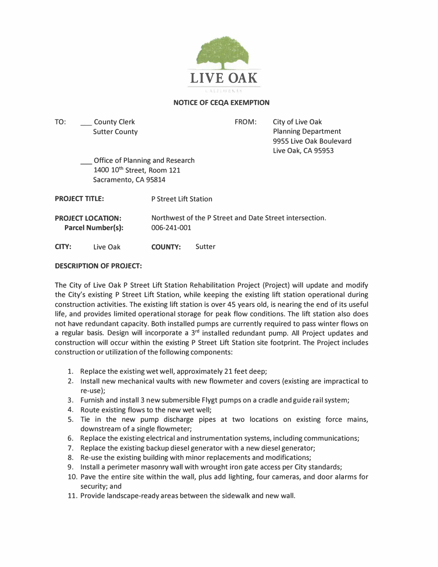

# **NOTICE OF CEQA EXEMPTION**

TO: \_ County Clerk Sutter County FROM:

City of Live Oak Planning Department 9955 Live Oak Boulevard Live Oak, CA 95953

\_ Office of Planning and Research 1400 10**th** Street, Room 121 Sacramento, CA 95814

**PROJECT TITLE:** P Street Lift Station

**PROJECT LOCATION: Parcel Number(s):**  Northwest of the P Street and Date Street intersection. 006-241-001

**CITY:** Live Oak **COUNTY:** Sutter

## **DESCRIPTION OF PROJECT:**

The City of Live Oak P Street Lift Station Rehabilitation Project (Project) will update and modify the City's existing P Street Lift Station, while keeping the existing lift station operational during construction activities. The existing lift station is over 45 years old, is nearing the end of its useful life, and provides limited operational storage for peak flow conditions. The lift station also does not have redundant capacity. Both installed pumps are currently required to pass winter flows on a regular basis. Design will incorporate a 3**rd** installed redundant pump. All Project updates and construction will occur within the existing P Street Lift Station site footprint. The Project includes construction or utilization of the following components:

- 1. Replace the existing wet well, approximately 21 feet deep;
- 2. Install new mechanical vaults with new flowmeter and covers (existing are impractical to re-use);
- 3. Furnish and install 3 new submersible Flygt pumps on a cradle and guide rail system;
- 4. Route existing flows to the new wet well;
- 5. Tie in the new pump discharge pipes at two locations on existing force mains, downstream of a single flowmeter;
- 6. Replace the existing electrical and instrumentation systems, including communications;
- 7. Replace the existing backup diesel generator with a new diesel generator;
- 8. Re-use the existing building with minor replacements and modifications;
- 9. Install a perimeter masonry wall with wrought iron gate access per City standards;
- 10. Pave the entire site within the wall, plus add lighting, four cameras, and door alarms for security; and
- 11. Provide landscape-ready areas between the sidewalk and new wall.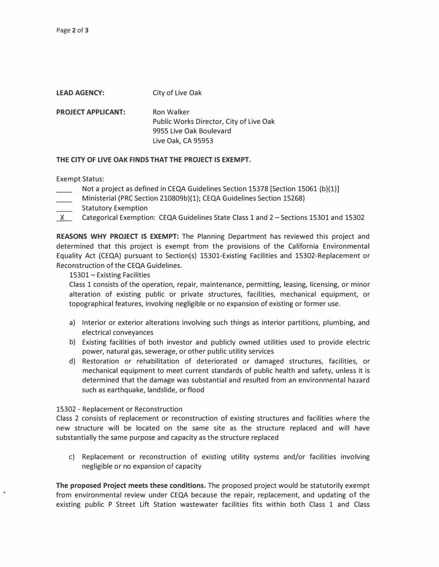| <b>LEAD AGENCY:</b>       | City of Live Oak                                                                                              |
|---------------------------|---------------------------------------------------------------------------------------------------------------|
| <b>PROJECT APPLICANT:</b> | <b>Ron Walker</b><br>Public Works Director, City of Live Oak<br>9955 Live Oak Boulevard<br>Live Oak, CA 95953 |

#### **THE CITY OF LIVE OAK FINDS THAT THE PROJECT IS EXEMPT.**

Exempt Status:

- Not a project as defined in CEQA Guidelines Section 15378 [Section 15061 (b)(1)]
- Ministerial (PRC Section 210809b)(1); CEQA Guidelines Section 15268)
- Statutory Exemption
- X Categorical Exemption: CEQA Guidelines State Class 1 and 2 Sections 15301 and 15302

**REASONS WHY PROJECT IS EXEMPT:** The Planning Department has reviewed this project and determined that this project is exempt from the provisions of the California Environmental Equality Act (CEQA) pursuant to Section(s) 15301-Existing Facilities and 15302-Replacement or Reconstruction of the CEQA Guidelines.

## 15301 - Existing Facilities

Class 1 consists of the operation, repair, maintenance, permitting, leasing, licensing, or minor alteration of existing public or private structures, facilities, mechanical equipment, or topographical features, involving negligible or no expansion of existing or former use.

- a) Interior or exterior alterations involving such things as interior partitions, plumbing, and electrical conveyances
- b) Existing facilities of both investor and publicly owned utilities used to provide electric power, natural gas, sewerage, or other public utility services
- d) Restoration or rehabilitation of deteriorated or damaged structures, facilities, or mechanical equipment to meet current standards of public health and safety, unless it is determined that the damage was substantial and resulted from an environmental hazard such as earthquake, landslide, or flood

## 15302 - Replacement or Reconstruction

Class 2 consists of replacement or reconstruction of existing structures and facilities where the new structure will be located on the same site as the structure replaced and will have substantially the same purpose and capacity as the structure replaced

c) Replacement or reconstruction of existing utility systems and/or facilities involving negligible or no expansion of capacity

**The proposed Project meets these conditions.** The proposed project would be statutorily exempt from environmental review under CEQA because the repair, replacement, and updating of the existing public P Street Lift Station wastewater facilities fits within both Class 1 and Class